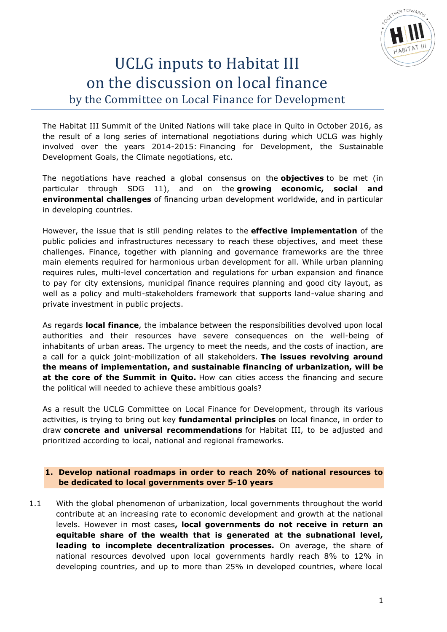

# UCLG inputs to Habitat III on the discussion on local finance by the Committee on Local Finance for Development

The Habitat III Summit of the United Nations will take place in Quito in October 2016, as the result of a long series of international negotiations during which UCLG was highly involved over the years 2014-2015: Financing for Development, the Sustainable Development Goals, the Climate negotiations, etc.

The negotiations have reached a global consensus on the **objectives** to be met (in particular through SDG 11), and on the **growing economic, social and environmental challenges** of financing urban development worldwide, and in particular in developing countries.

However, the issue that is still pending relates to the **effective implementation** of the public policies and infrastructures necessary to reach these objectives, and meet these challenges. Finance, together with planning and governance frameworks are the three main elements required for harmonious urban development for all. While urban planning requires rules, multi-level concertation and regulations for urban expansion and finance to pay for city extensions, municipal finance requires planning and good city layout, as well as a policy and multi-stakeholders framework that supports land-value sharing and private investment in public projects.

As regards **local finance**, the imbalance between the responsibilities devolved upon local authorities and their resources have severe consequences on the well-being of inhabitants of urban areas. The urgency to meet the needs, and the costs of inaction, are a call for a quick joint-mobilization of all stakeholders. **The issues revolving around the means of implementation, and sustainable financing of urbanization, will be at the core of the Summit in Quito.** How can cities access the financing and secure the political will needed to achieve these ambitious goals?

As a result the UCLG Committee on Local Finance for Development, through its various activities, is trying to bring out key **fundamental principles** on local finance, in order to draw **concrete and universal recommendations** for Habitat III, to be adjusted and prioritized according to local, national and regional frameworks.

## **1. Develop national roadmaps in order to reach 20% of national resources to be dedicated to local governments over 5-10 years**

1.1 With the global phenomenon of urbanization, local governments throughout the world contribute at an increasing rate to economic development and growth at the national levels. However in most cases**, local governments do not receive in return an equitable share of the wealth that is generated at the subnational level, leading to incomplete decentralization processes.** On average, the share of national resources devolved upon local governments hardly reach 8% to 12% in developing countries, and up to more than 25% in developed countries, where local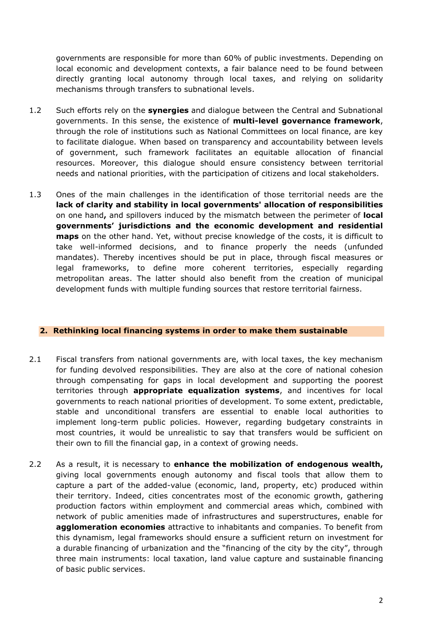governments are responsible for more than 60% of public investments. Depending on local economic and development contexts, a fair balance need to be found between directly granting local autonomy through local taxes, and relying on solidarity mechanisms through transfers to subnational levels.

- 1.2 Such efforts rely on the **synergies** and dialogue between the Central and Subnational governments. In this sense, the existence of **multi-level governance framework**, through the role of institutions such as National Committees on local finance, are key to facilitate dialogue. When based on transparency and accountability between levels of government, such framework facilitates an equitable allocation of financial resources. Moreover, this dialogue should ensure consistency between territorial needs and national priorities, with the participation of citizens and local stakeholders.
- 1.3 Ones of the main challenges in the identification of those territorial needs are the **lack of clarity and stability in local governments' allocation of responsibilities** on one hand**,** and spillovers induced by the mismatch between the perimeter of **local governments' jurisdictions and the economic development and residential maps** on the other hand. Yet, without precise knowledge of the costs, it is difficult to take well-informed decisions, and to finance properly the needs (unfunded mandates). Thereby incentives should be put in place, through fiscal measures or legal frameworks, to define more coherent territories, especially regarding metropolitan areas. The latter should also benefit from the creation of municipal development funds with multiple funding sources that restore territorial fairness.

#### **2. Rethinking local financing systems in order to make them sustainable**

- 2.1 Fiscal transfers from national governments are, with local taxes, the key mechanism for funding devolved responsibilities. They are also at the core of national cohesion through compensating for gaps in local development and supporting the poorest territories through **appropriate equalization systems**, and incentives for local governments to reach national priorities of development. To some extent, predictable, stable and unconditional transfers are essential to enable local authorities to implement long-term public policies. However, regarding budgetary constraints in most countries, it would be unrealistic to say that transfers would be sufficient on their own to fill the financial gap, in a context of growing needs.
- 2.2 As a result, it is necessary to **enhance the mobilization of endogenous wealth,** giving local governments enough autonomy and fiscal tools that allow them to capture a part of the added-value (economic, land, property, etc) produced within their territory. Indeed, cities concentrates most of the economic growth, gathering production factors within employment and commercial areas which, combined with network of public amenities made of infrastructures and superstructures, enable for **agglomeration economies** attractive to inhabitants and companies. To benefit from this dynamism, legal frameworks should ensure a sufficient return on investment for a durable financing of urbanization and the "financing of the city by the city", through three main instruments: local taxation, land value capture and sustainable financing of basic public services.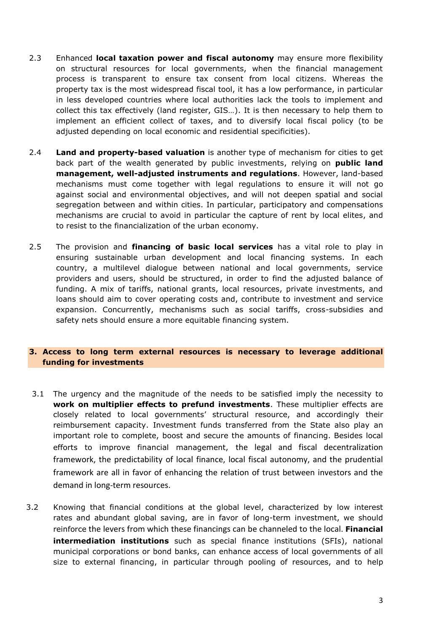- 2.3 Enhanced **local taxation power and fiscal autonomy** may ensure more flexibility on structural resources for local governments, when the financial management process is transparent to ensure tax consent from local citizens. Whereas the property tax is the most widespread fiscal tool, it has a low performance, in particular in less developed countries where local authorities lack the tools to implement and collect this tax effectively (land register, GIS…). It is then necessary to help them to implement an efficient collect of taxes, and to diversify local fiscal policy (to be adjusted depending on local economic and residential specificities).
- 2.4 **Land and property-based valuation** is another type of mechanism for cities to get back part of the wealth generated by public investments, relying on **public land management, well-adjusted instruments and regulations**. However, land-based mechanisms must come together with legal regulations to ensure it will not go against social and environmental objectives, and will not deepen spatial and social segregation between and within cities. In particular, participatory and compensations mechanisms are crucial to avoid in particular the capture of rent by local elites, and to resist to the financialization of the urban economy.
- 2.5 The provision and **financing of basic local services** has a vital role to play in ensuring sustainable urban development and local financing systems. In each country, a multilevel dialogue between national and local governments, service providers and users, should be structured, in order to find the adjusted balance of funding. A mix of tariffs, national grants, local resources, private investments, and loans should aim to cover operating costs and, contribute to investment and service expansion. Concurrently, mechanisms such as social tariffs, cross-subsidies and safety nets should ensure a more equitable financing system.

## **3. Access to long term external resources is necessary to leverage additional funding for investments**

- 3.1 The urgency and the magnitude of the needs to be satisfied imply the necessity to **work on multiplier effects to prefund investments**. These multiplier effects are closely related to local governments' structural resource, and accordingly their reimbursement capacity. Investment funds transferred from the State also play an important role to complete, boost and secure the amounts of financing. Besides local efforts to improve financial management, the legal and fiscal decentralization framework, the predictability of local finance, local fiscal autonomy, and the prudential framework are all in favor of enhancing the relation of trust between investors and the demand in long-term resources.
- 3.2 Knowing that financial conditions at the global level, characterized by low interest rates and abundant global saving, are in favor of long-term investment, we should reinforce the levers from which these financings can be channeled to the local. **Financial intermediation institutions** such as special finance institutions (SFIs), national municipal corporations or bond banks, can enhance access of local governments of all size to external financing, in particular through pooling of resources, and to help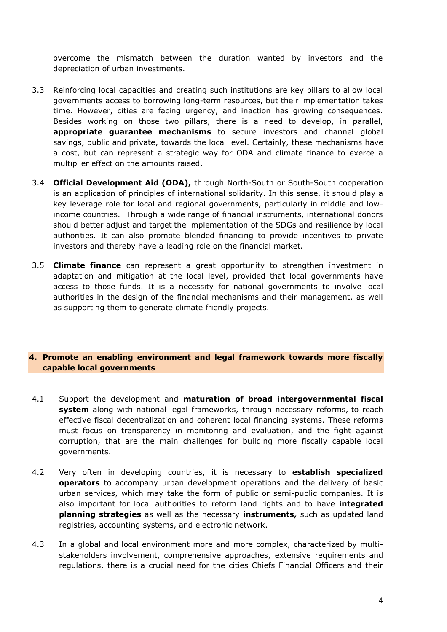overcome the mismatch between the duration wanted by investors and the depreciation of urban investments.

- 3.3 Reinforcing local capacities and creating such institutions are key pillars to allow local governments access to borrowing long-term resources, but their implementation takes time. However, cities are facing urgency, and inaction has growing consequences. Besides working on those two pillars, there is a need to develop, in parallel, **appropriate guarantee mechanisms** to secure investors and channel global savings, public and private, towards the local level. Certainly, these mechanisms have a cost, but can represent a strategic way for ODA and climate finance to exerce a multiplier effect on the amounts raised.
- 3.4 **Official Development Aid (ODA),** through North-South or South-South cooperation is an application of principles of international solidarity. In this sense, it should play a key leverage role for local and regional governments, particularly in middle and lowincome countries. Through a wide range of financial instruments, international donors should better adjust and target the implementation of the SDGs and resilience by local authorities. It can also promote blended financing to provide incentives to private investors and thereby have a leading role on the financial market.
- 3.5 **Climate finance** can represent a great opportunity to strengthen investment in adaptation and mitigation at the local level, provided that local governments have access to those funds. It is a necessity for national governments to involve local authorities in the design of the financial mechanisms and their management, as well as supporting them to generate climate friendly projects.

## **4. Promote an enabling environment and legal framework towards more fiscally capable local governments**

- 4.1 Support the development and **maturation of broad intergovernmental fiscal system** along with national legal frameworks, through necessary reforms, to reach effective fiscal decentralization and coherent local financing systems. These reforms must focus on transparency in monitoring and evaluation, and the fight against corruption, that are the main challenges for building more fiscally capable local governments.
- 4.2 Very often in developing countries, it is necessary to **establish specialized operators** to accompany urban development operations and the delivery of basic urban services, which may take the form of public or semi-public companies. It is also important for local authorities to reform land rights and to have **integrated planning strategies** as well as the necessary **instruments,** such as updated land registries, accounting systems, and electronic network.
- 4.3 In a global and local environment more and more complex, characterized by multistakeholders involvement, comprehensive approaches, extensive requirements and regulations, there is a crucial need for the cities Chiefs Financial Officers and their